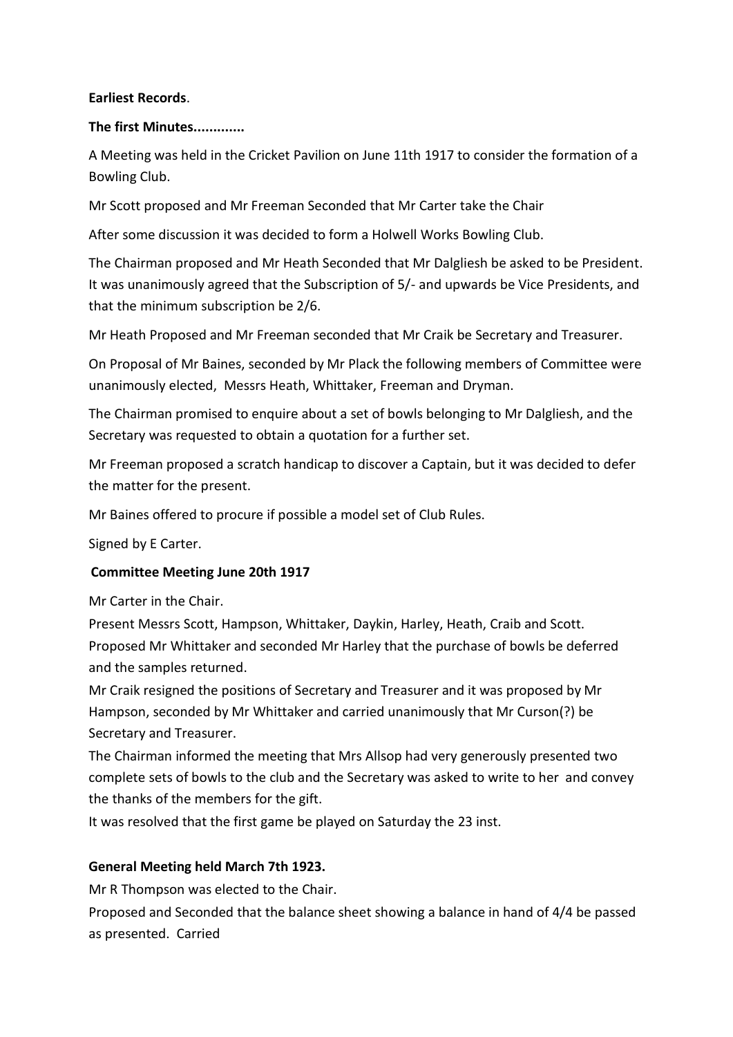#### **Earliest Records**.

#### **The first Minutes.............**

A Meeting was held in the Cricket Pavilion on June 11th 1917 to consider the formation of a Bowling Club.

Mr Scott proposed and Mr Freeman Seconded that Mr Carter take the Chair

After some discussion it was decided to form a Holwell Works Bowling Club.

The Chairman proposed and Mr Heath Seconded that Mr Dalgliesh be asked to be President. It was unanimously agreed that the Subscription of 5/- and upwards be Vice Presidents, and that the minimum subscription be 2/6.

Mr Heath Proposed and Mr Freeman seconded that Mr Craik be Secretary and Treasurer.

On Proposal of Mr Baines, seconded by Mr Plack the following members of Committee were unanimously elected, Messrs Heath, Whittaker, Freeman and Dryman.

The Chairman promised to enquire about a set of bowls belonging to Mr Dalgliesh, and the Secretary was requested to obtain a quotation for a further set.

Mr Freeman proposed a scratch handicap to discover a Captain, but it was decided to defer the matter for the present.

Mr Baines offered to procure if possible a model set of Club Rules.

Signed by E Carter.

# **Committee Meeting June 20th 1917**

Mr Carter in the Chair.

Present Messrs Scott, Hampson, Whittaker, Daykin, Harley, Heath, Craib and Scott. Proposed Mr Whittaker and seconded Mr Harley that the purchase of bowls be deferred and the samples returned.

Mr Craik resigned the positions of Secretary and Treasurer and it was proposed by Mr Hampson, seconded by Mr Whittaker and carried unanimously that Mr Curson(?) be Secretary and Treasurer.

The Chairman informed the meeting that Mrs Allsop had very generously presented two complete sets of bowls to the club and the Secretary was asked to write to her and convey the thanks of the members for the gift.

It was resolved that the first game be played on Saturday the 23 inst.

# **General Meeting held March 7th 1923.**

Mr R Thompson was elected to the Chair.

Proposed and Seconded that the balance sheet showing a balance in hand of 4/4 be passed as presented. Carried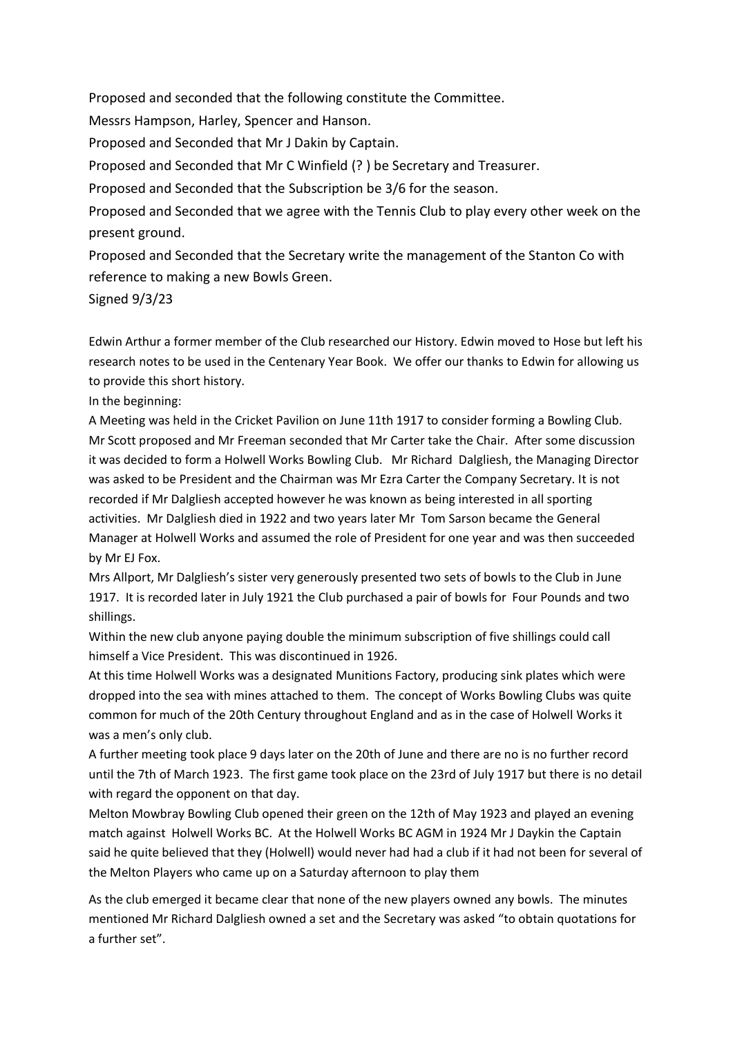Proposed and seconded that the following constitute the Committee.

Messrs Hampson, Harley, Spencer and Hanson.

Proposed and Seconded that Mr J Dakin by Captain.

Proposed and Seconded that Mr C Winfield (? ) be Secretary and Treasurer.

Proposed and Seconded that the Subscription be 3/6 for the season.

Proposed and Seconded that we agree with the Tennis Club to play every other week on the present ground.

Proposed and Seconded that the Secretary write the management of the Stanton Co with reference to making a new Bowls Green.

Signed 9/3/23

Edwin Arthur a former member of the Club researched our History. Edwin moved to Hose but left his research notes to be used in the Centenary Year Book. We offer our thanks to Edwin for allowing us to provide this short history.

In the beginning:

A Meeting was held in the Cricket Pavilion on June 11th 1917 to consider forming a Bowling Club. Mr Scott proposed and Mr Freeman seconded that Mr Carter take the Chair. After some discussion it was decided to form a Holwell Works Bowling Club. Mr Richard Dalgliesh, the Managing Director was asked to be President and the Chairman was Mr Ezra Carter the Company Secretary. It is not recorded if Mr Dalgliesh accepted however he was known as being interested in all sporting activities. Mr Dalgliesh died in 1922 and two years later Mr Tom Sarson became the General Manager at Holwell Works and assumed the role of President for one year and was then succeeded by Mr EJ Fox.

Mrs Allport, Mr Dalgliesh's sister very generously presented two sets of bowls to the Club in June 1917. It is recorded later in July 1921 the Club purchased a pair of bowls for Four Pounds and two shillings.

Within the new club anyone paying double the minimum subscription of five shillings could call himself a Vice President. This was discontinued in 1926.

At this time Holwell Works was a designated Munitions Factory, producing sink plates which were dropped into the sea with mines attached to them. The concept of Works Bowling Clubs was quite common for much of the 20th Century throughout England and as in the case of Holwell Works it was a men's only club.

A further meeting took place 9 days later on the 20th of June and there are no is no further record until the 7th of March 1923. The first game took place on the 23rd of July 1917 but there is no detail with regard the opponent on that day.

Melton Mowbray Bowling Club opened their green on the 12th of May 1923 and played an evening match against Holwell Works BC. At the Holwell Works BC AGM in 1924 Mr J Daykin the Captain said he quite believed that they (Holwell) would never had had a club if it had not been for several of the Melton Players who came up on a Saturday afternoon to play them

As the club emerged it became clear that none of the new players owned any bowls. The minutes mentioned Mr Richard Dalgliesh owned a set and the Secretary was asked "to obtain quotations for a further set".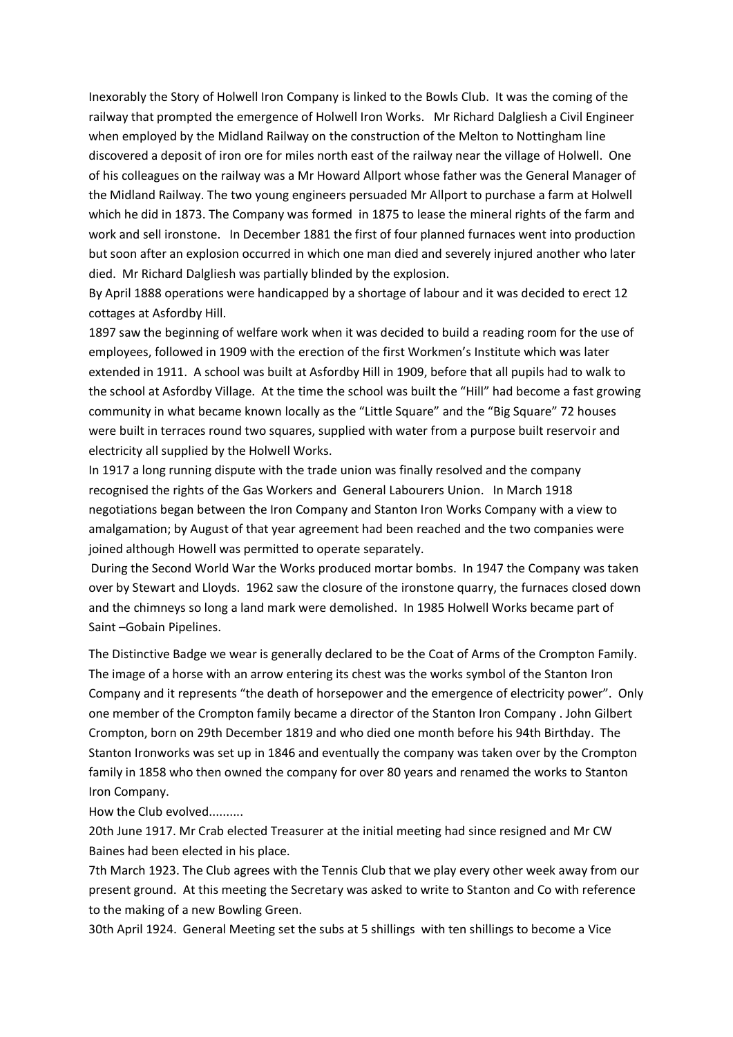Inexorably the Story of Holwell Iron Company is linked to the Bowls Club. It was the coming of the railway that prompted the emergence of Holwell Iron Works. Mr Richard Dalgliesh a Civil Engineer when employed by the Midland Railway on the construction of the Melton to Nottingham line discovered a deposit of iron ore for miles north east of the railway near the village of Holwell. One of his colleagues on the railway was a Mr Howard Allport whose father was the General Manager of the Midland Railway. The two young engineers persuaded Mr Allport to purchase a farm at Holwell which he did in 1873. The Company was formed in 1875 to lease the mineral rights of the farm and work and sell ironstone. In December 1881 the first of four planned furnaces went into production but soon after an explosion occurred in which one man died and severely injured another who later died. Mr Richard Dalgliesh was partially blinded by the explosion.

By April 1888 operations were handicapped by a shortage of labour and it was decided to erect 12 cottages at Asfordby Hill.

1897 saw the beginning of welfare work when it was decided to build a reading room for the use of employees, followed in 1909 with the erection of the first Workmen's Institute which was later extended in 1911. A school was built at Asfordby Hill in 1909, before that all pupils had to walk to the school at Asfordby Village. At the time the school was built the "Hill" had become a fast growing community in what became known locally as the "Little Square" and the "Big Square" 72 houses were built in terraces round two squares, supplied with water from a purpose built reservoir and electricity all supplied by the Holwell Works.

In 1917 a long running dispute with the trade union was finally resolved and the company recognised the rights of the Gas Workers and General Labourers Union. In March 1918 negotiations began between the Iron Company and Stanton Iron Works Company with a view to amalgamation; by August of that year agreement had been reached and the two companies were joined although Howell was permitted to operate separately.

During the Second World War the Works produced mortar bombs. In 1947 the Company was taken over by Stewart and Lloyds. 1962 saw the closure of the ironstone quarry, the furnaces closed down and the chimneys so long a land mark were demolished. In 1985 Holwell Works became part of Saint –Gobain Pipelines.

The Distinctive Badge we wear is generally declared to be the Coat of Arms of the Crompton Family. The image of a horse with an arrow entering its chest was the works symbol of the Stanton Iron Company and it represents "the death of horsepower and the emergence of electricity power". Only one member of the Crompton family became a director of the Stanton Iron Company . John Gilbert Crompton, born on 29th December 1819 and who died one month before his 94th Birthday. The Stanton Ironworks was set up in 1846 and eventually the company was taken over by the Crompton family in 1858 who then owned the company for over 80 years and renamed the works to Stanton Iron Company.

How the Club evolved..........

20th June 1917. Mr Crab elected Treasurer at the initial meeting had since resigned and Mr CW Baines had been elected in his place.

7th March 1923. The Club agrees with the Tennis Club that we play every other week away from our present ground. At this meeting the Secretary was asked to write to Stanton and Co with reference to the making of a new Bowling Green.

30th April 1924. General Meeting set the subs at 5 shillings with ten shillings to become a Vice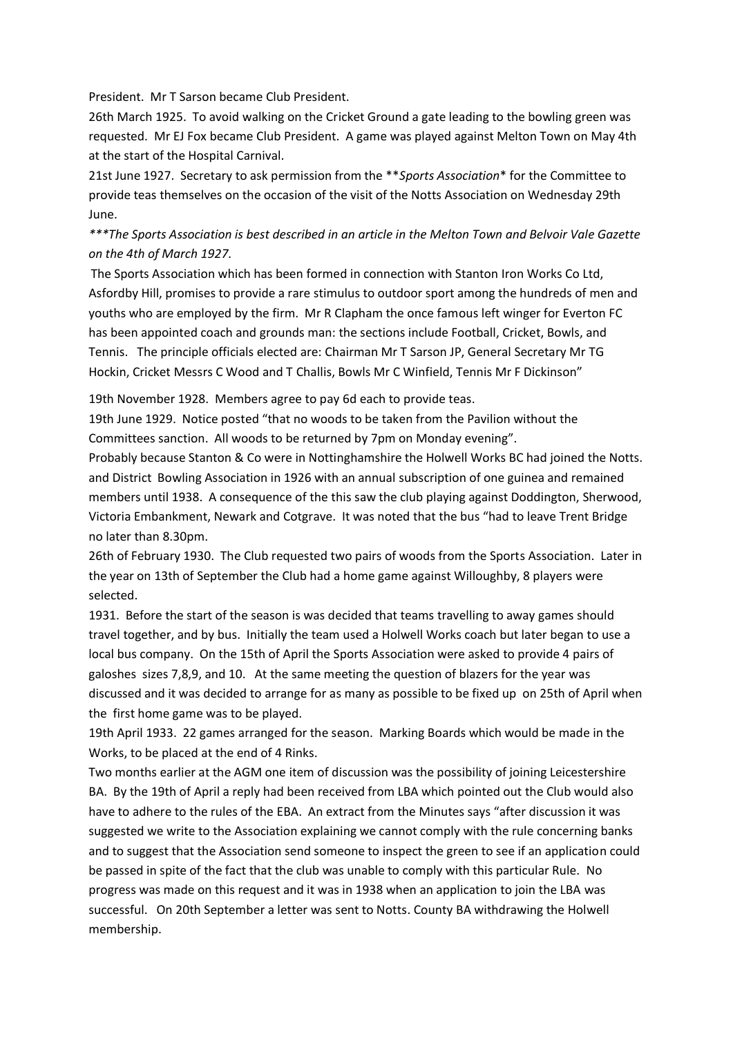President. Mr T Sarson became Club President.

26th March 1925. To avoid walking on the Cricket Ground a gate leading to the bowling green was requested. Mr EJ Fox became Club President. A game was played against Melton Town on May 4th at the start of the Hospital Carnival.

21st June 1927. Secretary to ask permission from the \*\**Sports Association*\* for the Committee to provide teas themselves on the occasion of the visit of the Notts Association on Wednesday 29th June.

# *\*\*\*The Sports Association is best described in an article in the Melton Town and Belvoir Vale Gazette on the 4th of March 1927.*

The Sports Association which has been formed in connection with Stanton Iron Works Co Ltd, Asfordby Hill, promises to provide a rare stimulus to outdoor sport among the hundreds of men and youths who are employed by the firm. Mr R Clapham the once famous left winger for Everton FC has been appointed coach and grounds man: the sections include Football, Cricket, Bowls, and Tennis. The principle officials elected are: Chairman Mr T Sarson JP, General Secretary Mr TG Hockin, Cricket Messrs C Wood and T Challis, Bowls Mr C Winfield, Tennis Mr F Dickinson"

19th November 1928. Members agree to pay 6d each to provide teas.

19th June 1929. Notice posted "that no woods to be taken from the Pavilion without the Committees sanction. All woods to be returned by 7pm on Monday evening".

Probably because Stanton & Co were in Nottinghamshire the Holwell Works BC had joined the Notts. and District Bowling Association in 1926 with an annual subscription of one guinea and remained members until 1938. A consequence of the this saw the club playing against Doddington, Sherwood, Victoria Embankment, Newark and Cotgrave. It was noted that the bus "had to leave Trent Bridge no later than 8.30pm.

26th of February 1930. The Club requested two pairs of woods from the Sports Association. Later in the year on 13th of September the Club had a home game against Willoughby, 8 players were selected.

1931. Before the start of the season is was decided that teams travelling to away games should travel together, and by bus. Initially the team used a Holwell Works coach but later began to use a local bus company. On the 15th of April the Sports Association were asked to provide 4 pairs of galoshes sizes 7,8,9, and 10. At the same meeting the question of blazers for the year was discussed and it was decided to arrange for as many as possible to be fixed up on 25th of April when the first home game was to be played.

19th April 1933. 22 games arranged for the season. Marking Boards which would be made in the Works, to be placed at the end of 4 Rinks.

Two months earlier at the AGM one item of discussion was the possibility of joining Leicestershire BA. By the 19th of April a reply had been received from LBA which pointed out the Club would also have to adhere to the rules of the EBA. An extract from the Minutes says "after discussion it was suggested we write to the Association explaining we cannot comply with the rule concerning banks and to suggest that the Association send someone to inspect the green to see if an application could be passed in spite of the fact that the club was unable to comply with this particular Rule. No progress was made on this request and it was in 1938 when an application to join the LBA was successful. On 20th September a letter was sent to Notts. County BA withdrawing the Holwell membership.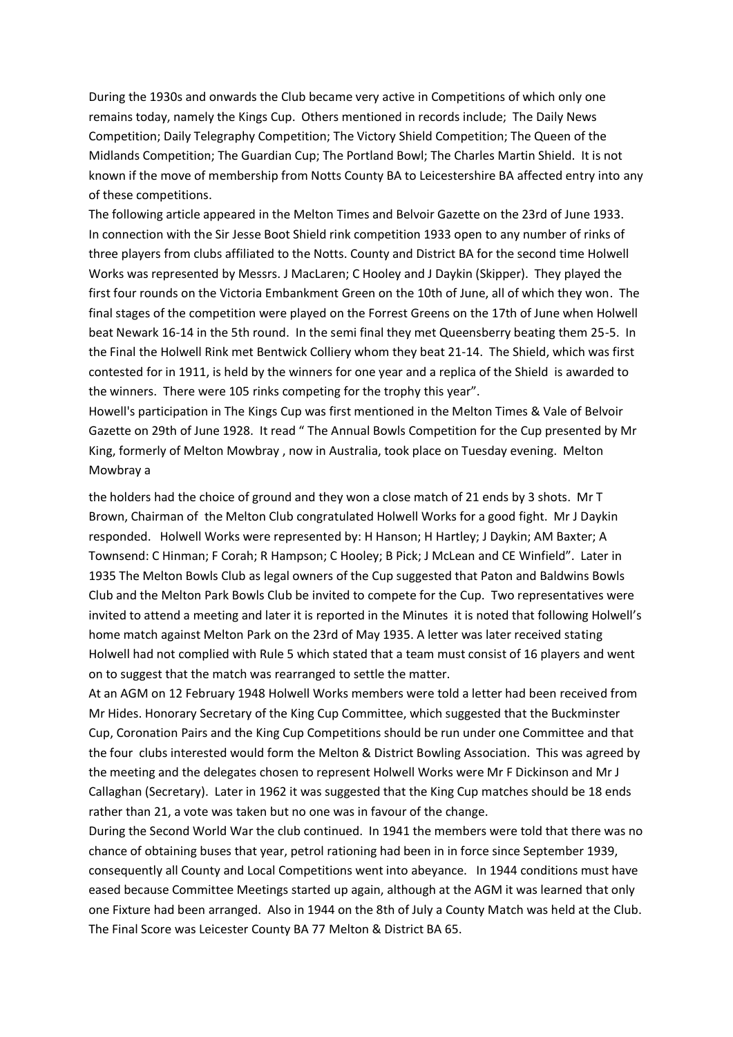During the 1930s and onwards the Club became very active in Competitions of which only one remains today, namely the Kings Cup. Others mentioned in records include; The Daily News Competition; Daily Telegraphy Competition; The Victory Shield Competition; The Queen of the Midlands Competition; The Guardian Cup; The Portland Bowl; The Charles Martin Shield. It is not known if the move of membership from Notts County BA to Leicestershire BA affected entry into any of these competitions.

The following article appeared in the Melton Times and Belvoir Gazette on the 23rd of June 1933. In connection with the Sir Jesse Boot Shield rink competition 1933 open to any number of rinks of three players from clubs affiliated to the Notts. County and District BA for the second time Holwell Works was represented by Messrs. J MacLaren; C Hooley and J Daykin (Skipper). They played the first four rounds on the Victoria Embankment Green on the 10th of June, all of which they won. The final stages of the competition were played on the Forrest Greens on the 17th of June when Holwell beat Newark 16-14 in the 5th round. In the semi final they met Queensberry beating them 25-5. In the Final the Holwell Rink met Bentwick Colliery whom they beat 21-14. The Shield, which was first contested for in 1911, is held by the winners for one year and a replica of the Shield is awarded to the winners. There were 105 rinks competing for the trophy this year".

Howell's participation in The Kings Cup was first mentioned in the Melton Times & Vale of Belvoir Gazette on 29th of June 1928. It read " The Annual Bowls Competition for the Cup presented by Mr King, formerly of Melton Mowbray , now in Australia, took place on Tuesday evening. Melton Mowbray a

the holders had the choice of ground and they won a close match of 21 ends by 3 shots. Mr T Brown, Chairman of the Melton Club congratulated Holwell Works for a good fight. Mr J Daykin responded. Holwell Works were represented by: H Hanson; H Hartley; J Daykin; AM Baxter; A Townsend: C Hinman; F Corah; R Hampson; C Hooley; B Pick; J McLean and CE Winfield". Later in 1935 The Melton Bowls Club as legal owners of the Cup suggested that Paton and Baldwins Bowls Club and the Melton Park Bowls Club be invited to compete for the Cup. Two representatives were invited to attend a meeting and later it is reported in the Minutes it is noted that following Holwell's home match against Melton Park on the 23rd of May 1935. A letter was later received stating Holwell had not complied with Rule 5 which stated that a team must consist of 16 players and went on to suggest that the match was rearranged to settle the matter.

At an AGM on 12 February 1948 Holwell Works members were told a letter had been received from Mr Hides. Honorary Secretary of the King Cup Committee, which suggested that the Buckminster Cup, Coronation Pairs and the King Cup Competitions should be run under one Committee and that the four clubs interested would form the Melton & District Bowling Association. This was agreed by the meeting and the delegates chosen to represent Holwell Works were Mr F Dickinson and Mr J Callaghan (Secretary). Later in 1962 it was suggested that the King Cup matches should be 18 ends rather than 21, a vote was taken but no one was in favour of the change.

During the Second World War the club continued. In 1941 the members were told that there was no chance of obtaining buses that year, petrol rationing had been in in force since September 1939, consequently all County and Local Competitions went into abeyance. In 1944 conditions must have eased because Committee Meetings started up again, although at the AGM it was learned that only one Fixture had been arranged. Also in 1944 on the 8th of July a County Match was held at the Club. The Final Score was Leicester County BA 77 Melton & District BA 65.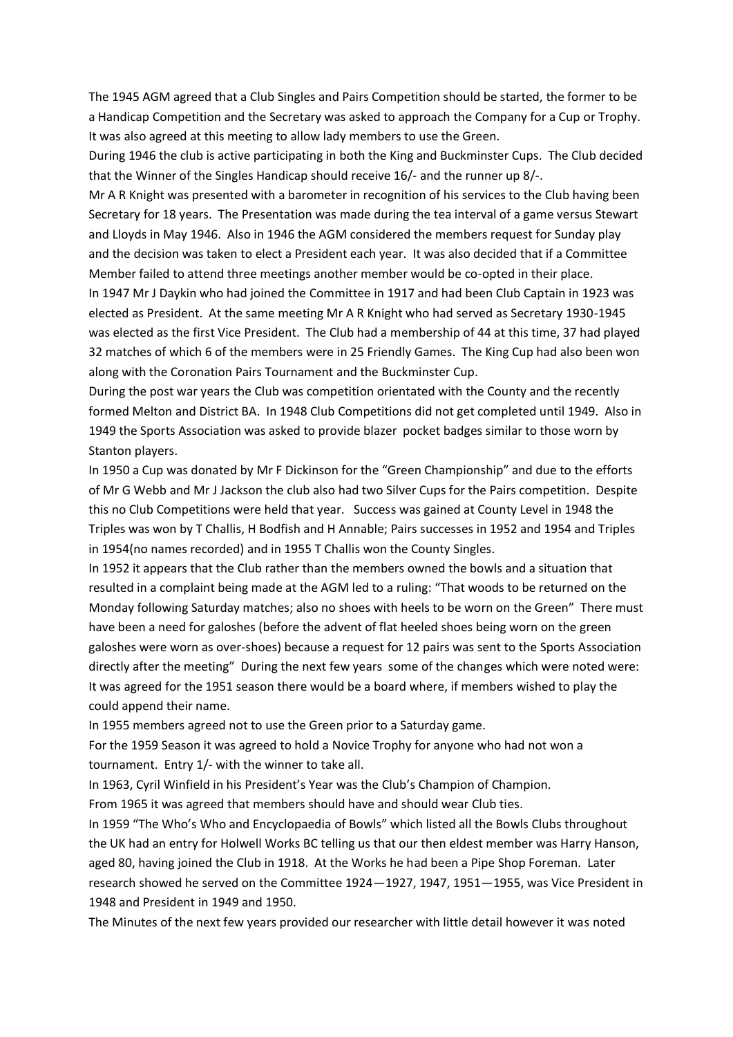The 1945 AGM agreed that a Club Singles and Pairs Competition should be started, the former to be a Handicap Competition and the Secretary was asked to approach the Company for a Cup or Trophy. It was also agreed at this meeting to allow lady members to use the Green.

During 1946 the club is active participating in both the King and Buckminster Cups. The Club decided that the Winner of the Singles Handicap should receive 16/- and the runner up 8/-.

Mr A R Knight was presented with a barometer in recognition of his services to the Club having been Secretary for 18 years. The Presentation was made during the tea interval of a game versus Stewart and Lloyds in May 1946. Also in 1946 the AGM considered the members request for Sunday play and the decision was taken to elect a President each year. It was also decided that if a Committee Member failed to attend three meetings another member would be co-opted in their place.

In 1947 Mr J Daykin who had joined the Committee in 1917 and had been Club Captain in 1923 was elected as President. At the same meeting Mr A R Knight who had served as Secretary 1930-1945 was elected as the first Vice President. The Club had a membership of 44 at this time, 37 had played 32 matches of which 6 of the members were in 25 Friendly Games. The King Cup had also been won along with the Coronation Pairs Tournament and the Buckminster Cup.

During the post war years the Club was competition orientated with the County and the recently formed Melton and District BA. In 1948 Club Competitions did not get completed until 1949. Also in 1949 the Sports Association was asked to provide blazer pocket badges similar to those worn by Stanton players.

In 1950 a Cup was donated by Mr F Dickinson for the "Green Championship" and due to the efforts of Mr G Webb and Mr J Jackson the club also had two Silver Cups for the Pairs competition. Despite this no Club Competitions were held that year. Success was gained at County Level in 1948 the Triples was won by T Challis, H Bodfish and H Annable; Pairs successes in 1952 and 1954 and Triples in 1954(no names recorded) and in 1955 T Challis won the County Singles.

In 1952 it appears that the Club rather than the members owned the bowls and a situation that resulted in a complaint being made at the AGM led to a ruling: "That woods to be returned on the Monday following Saturday matches; also no shoes with heels to be worn on the Green" There must have been a need for galoshes (before the advent of flat heeled shoes being worn on the green galoshes were worn as over-shoes) because a request for 12 pairs was sent to the Sports Association directly after the meeting" During the next few years some of the changes which were noted were: It was agreed for the 1951 season there would be a board where, if members wished to play the could append their name.

In 1955 members agreed not to use the Green prior to a Saturday game.

For the 1959 Season it was agreed to hold a Novice Trophy for anyone who had not won a tournament. Entry 1/- with the winner to take all.

In 1963, Cyril Winfield in his President's Year was the Club's Champion of Champion.

From 1965 it was agreed that members should have and should wear Club ties.

In 1959 "The Who's Who and Encyclopaedia of Bowls" which listed all the Bowls Clubs throughout the UK had an entry for Holwell Works BC telling us that our then eldest member was Harry Hanson, aged 80, having joined the Club in 1918. At the Works he had been a Pipe Shop Foreman. Later research showed he served on the Committee 1924—1927, 1947, 1951—1955, was Vice President in 1948 and President in 1949 and 1950.

The Minutes of the next few years provided our researcher with little detail however it was noted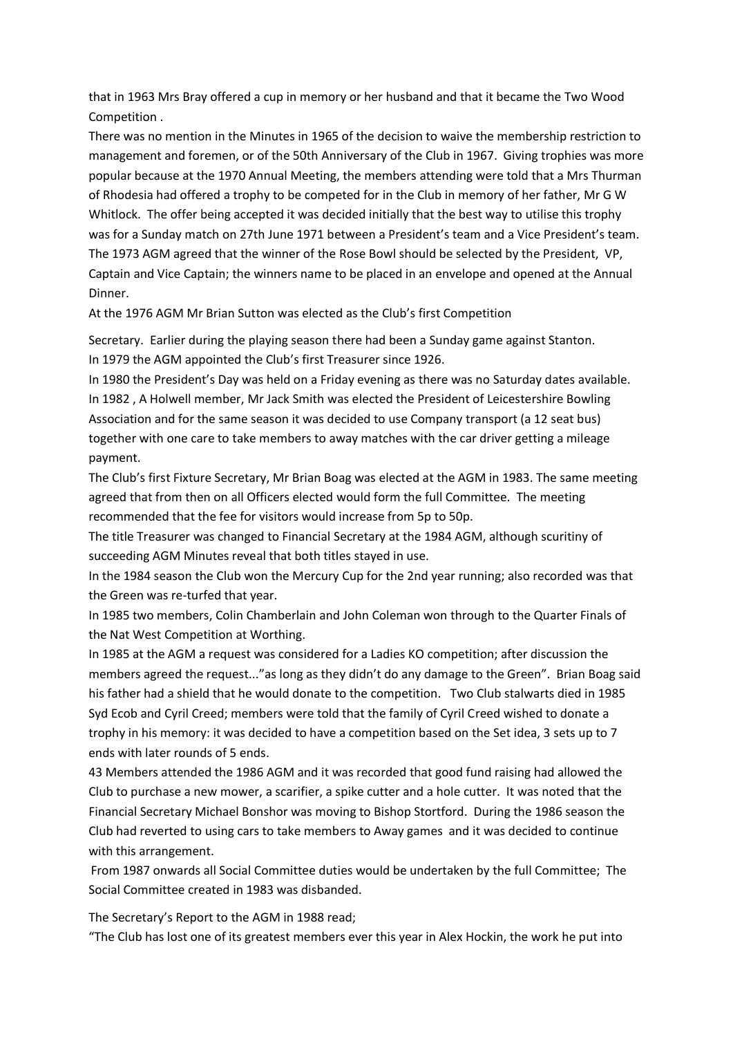that in 1963 Mrs Bray offered a cup in memory or her husband and that it became the Two Wood Competition .

There was no mention in the Minutes in 1965 of the decision to waive the membership restriction to management and foremen, or of the 50th Anniversary of the Club in 1967. Giving trophies was more popular because at the 1970 Annual Meeting, the members attending were told that a Mrs Thurman of Rhodesia had offered a trophy to be competed for in the Club in memory of her father, Mr G W Whitlock. The offer being accepted it was decided initially that the best way to utilise this trophy was for a Sunday match on 27th June 1971 between a President's team and a Vice President's team. The 1973 AGM agreed that the winner of the Rose Bowl should be selected by the President, VP, Captain and Vice Captain; the winners name to be placed in an envelope and opened at the Annual Dinner.

At the 1976 AGM Mr Brian Sutton was elected as the Club's first Competition

Secretary. Earlier during the playing season there had been a Sunday game against Stanton. In 1979 the AGM appointed the Club's first Treasurer since 1926.

In 1980 the President's Day was held on a Friday evening as there was no Saturday dates available. In 1982 , A Holwell member, Mr Jack Smith was elected the President of Leicestershire Bowling Association and for the same season it was decided to use Company transport (a 12 seat bus) together with one care to take members to away matches with the car driver getting a mileage payment.

The Club's first Fixture Secretary, Mr Brian Boag was elected at the AGM in 1983. The same meeting agreed that from then on all Officers elected would form the full Committee. The meeting recommended that the fee for visitors would increase from 5p to 50p.

The title Treasurer was changed to Financial Secretary at the 1984 AGM, although scuritiny of succeeding AGM Minutes reveal that both titles stayed in use.

In the 1984 season the Club won the Mercury Cup for the 2nd year running; also recorded was that the Green was re-turfed that year.

In 1985 two members, Colin Chamberlain and John Coleman won through to the Quarter Finals of the Nat West Competition at Worthing.

In 1985 at the AGM a request was considered for a Ladies KO competition; after discussion the members agreed the request..."as long as they didn't do any damage to the Green". Brian Boag said his father had a shield that he would donate to the competition. Two Club stalwarts died in 1985 Syd Ecob and Cyril Creed; members were told that the family of Cyril Creed wished to donate a trophy in his memory: it was decided to have a competition based on the Set idea, 3 sets up to 7 ends with later rounds of 5 ends.

43 Members attended the 1986 AGM and it was recorded that good fund raising had allowed the Club to purchase a new mower, a scarifier, a spike cutter and a hole cutter. It was noted that the Financial Secretary Michael Bonshor was moving to Bishop Stortford. During the 1986 season the Club had reverted to using cars to take members to Away games and it was decided to continue with this arrangement.

From 1987 onwards all Social Committee duties would be undertaken by the full Committee; The Social Committee created in 1983 was disbanded.

The Secretary's Report to the AGM in 1988 read;

"The Club has lost one of its greatest members ever this year in Alex Hockin, the work he put into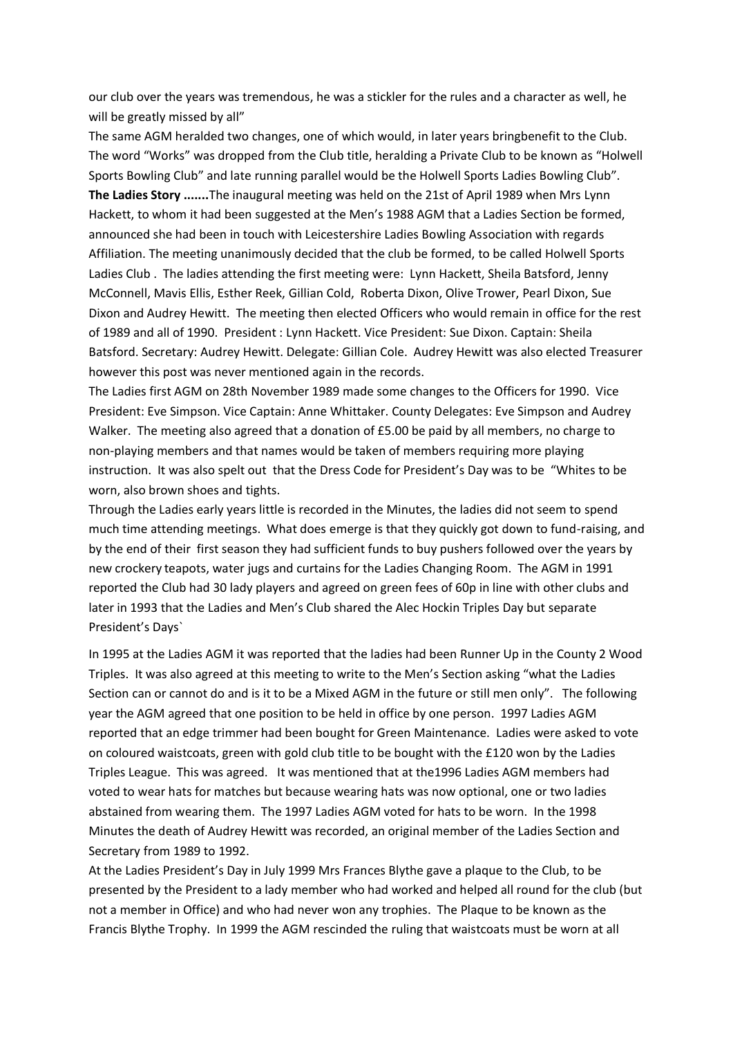our club over the years was tremendous, he was a stickler for the rules and a character as well, he will be greatly missed by all"

The same AGM heralded two changes, one of which would, in later years bringbenefit to the Club. The word "Works" was dropped from the Club title, heralding a Private Club to be known as "Holwell Sports Bowling Club" and late running parallel would be the Holwell Sports Ladies Bowling Club". **The Ladies Story .......**The inaugural meeting was held on the 21st of April 1989 when Mrs Lynn Hackett, to whom it had been suggested at the Men's 1988 AGM that a Ladies Section be formed, announced she had been in touch with Leicestershire Ladies Bowling Association with regards Affiliation. The meeting unanimously decided that the club be formed, to be called Holwell Sports Ladies Club . The ladies attending the first meeting were: Lynn Hackett, Sheila Batsford, Jenny McConnell, Mavis Ellis, Esther Reek, Gillian Cold, Roberta Dixon, Olive Trower, Pearl Dixon, Sue Dixon and Audrey Hewitt. The meeting then elected Officers who would remain in office for the rest of 1989 and all of 1990. President : Lynn Hackett. Vice President: Sue Dixon. Captain: Sheila Batsford. Secretary: Audrey Hewitt. Delegate: Gillian Cole. Audrey Hewitt was also elected Treasurer however this post was never mentioned again in the records.

The Ladies first AGM on 28th November 1989 made some changes to the Officers for 1990. Vice President: Eve Simpson. Vice Captain: Anne Whittaker. County Delegates: Eve Simpson and Audrey Walker. The meeting also agreed that a donation of £5.00 be paid by all members, no charge to non-playing members and that names would be taken of members requiring more playing instruction. It was also spelt out that the Dress Code for President's Day was to be "Whites to be worn, also brown shoes and tights.

Through the Ladies early years little is recorded in the Minutes, the ladies did not seem to spend much time attending meetings. What does emerge is that they quickly got down to fund-raising, and by the end of their first season they had sufficient funds to buy pushers followed over the years by new crockery teapots, water jugs and curtains for the Ladies Changing Room. The AGM in 1991 reported the Club had 30 lady players and agreed on green fees of 60p in line with other clubs and later in 1993 that the Ladies and Men's Club shared the Alec Hockin Triples Day but separate President's Days`

In 1995 at the Ladies AGM it was reported that the ladies had been Runner Up in the County 2 Wood Triples. It was also agreed at this meeting to write to the Men's Section asking "what the Ladies Section can or cannot do and is it to be a Mixed AGM in the future or still men only". The following year the AGM agreed that one position to be held in office by one person. 1997 Ladies AGM reported that an edge trimmer had been bought for Green Maintenance. Ladies were asked to vote on coloured waistcoats, green with gold club title to be bought with the £120 won by the Ladies Triples League. This was agreed. It was mentioned that at the1996 Ladies AGM members had voted to wear hats for matches but because wearing hats was now optional, one or two ladies abstained from wearing them. The 1997 Ladies AGM voted for hats to be worn. In the 1998 Minutes the death of Audrey Hewitt was recorded, an original member of the Ladies Section and Secretary from 1989 to 1992.

At the Ladies President's Day in July 1999 Mrs Frances Blythe gave a plaque to the Club, to be presented by the President to a lady member who had worked and helped all round for the club (but not a member in Office) and who had never won any trophies. The Plaque to be known as the Francis Blythe Trophy. In 1999 the AGM rescinded the ruling that waistcoats must be worn at all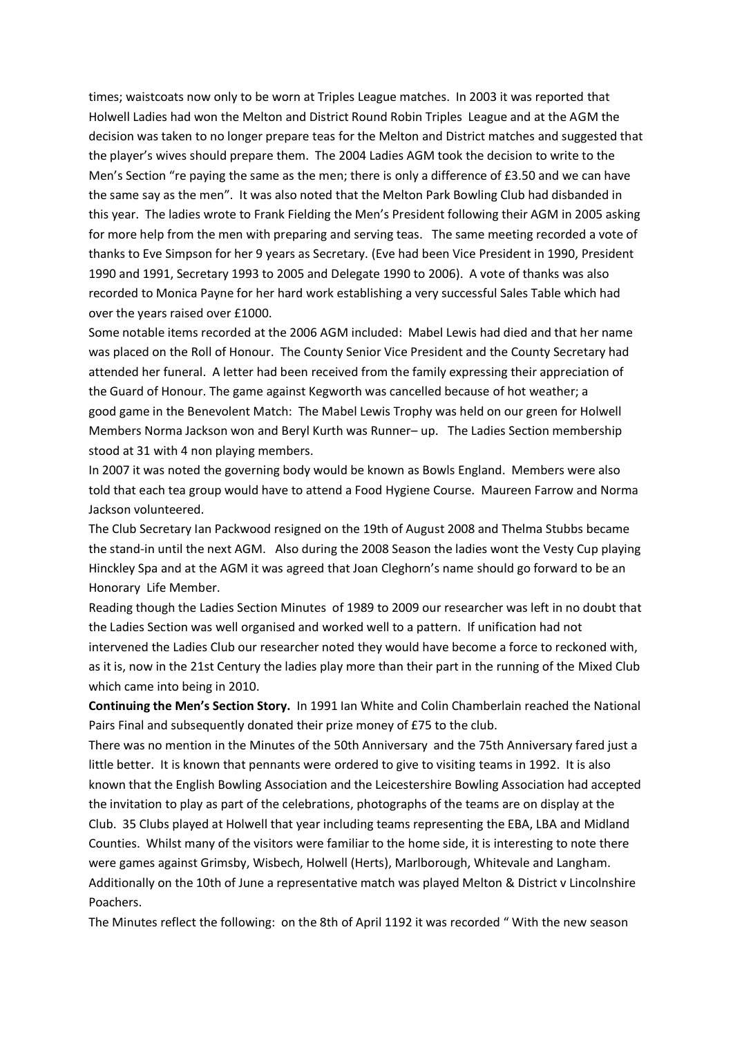times; waistcoats now only to be worn at Triples League matches. In 2003 it was reported that Holwell Ladies had won the Melton and District Round Robin Triples League and at the AGM the decision was taken to no longer prepare teas for the Melton and District matches and suggested that the player's wives should prepare them. The 2004 Ladies AGM took the decision to write to the Men's Section "re paying the same as the men; there is only a difference of £3.50 and we can have the same say as the men". It was also noted that the Melton Park Bowling Club had disbanded in this year. The ladies wrote to Frank Fielding the Men's President following their AGM in 2005 asking for more help from the men with preparing and serving teas. The same meeting recorded a vote of thanks to Eve Simpson for her 9 years as Secretary. (Eve had been Vice President in 1990, President 1990 and 1991, Secretary 1993 to 2005 and Delegate 1990 to 2006). A vote of thanks was also recorded to Monica Payne for her hard work establishing a very successful Sales Table which had over the years raised over £1000.

Some notable items recorded at the 2006 AGM included: Mabel Lewis had died and that her name was placed on the Roll of Honour. The County Senior Vice President and the County Secretary had attended her funeral. A letter had been received from the family expressing their appreciation of the Guard of Honour. The game against Kegworth was cancelled because of hot weather; a good game in the Benevolent Match: The Mabel Lewis Trophy was held on our green for Holwell Members Norma Jackson won and Beryl Kurth was Runner– up. The Ladies Section membership stood at 31 with 4 non playing members.

In 2007 it was noted the governing body would be known as Bowls England. Members were also told that each tea group would have to attend a Food Hygiene Course. Maureen Farrow and Norma Jackson volunteered.

The Club Secretary Ian Packwood resigned on the 19th of August 2008 and Thelma Stubbs became the stand-in until the next AGM. Also during the 2008 Season the ladies wont the Vesty Cup playing Hinckley Spa and at the AGM it was agreed that Joan Cleghorn's name should go forward to be an Honorary Life Member.

Reading though the Ladies Section Minutes of 1989 to 2009 our researcher was left in no doubt that the Ladies Section was well organised and worked well to a pattern. If unification had not intervened the Ladies Club our researcher noted they would have become a force to reckoned with, as it is, now in the 21st Century the ladies play more than their part in the running of the Mixed Club which came into being in 2010.

**Continuing the Men's Section Story.** In 1991 Ian White and Colin Chamberlain reached the National Pairs Final and subsequently donated their prize money of £75 to the club.

There was no mention in the Minutes of the 50th Anniversary and the 75th Anniversary fared just a little better. It is known that pennants were ordered to give to visiting teams in 1992. It is also known that the English Bowling Association and the Leicestershire Bowling Association had accepted the invitation to play as part of the celebrations, photographs of the teams are on display at the Club. 35 Clubs played at Holwell that year including teams representing the EBA, LBA and Midland Counties. Whilst many of the visitors were familiar to the home side, it is interesting to note there were games against Grimsby, Wisbech, Holwell (Herts), Marlborough, Whitevale and Langham. Additionally on the 10th of June a representative match was played Melton & District v Lincolnshire Poachers.

The Minutes reflect the following: on the 8th of April 1192 it was recorded " With the new season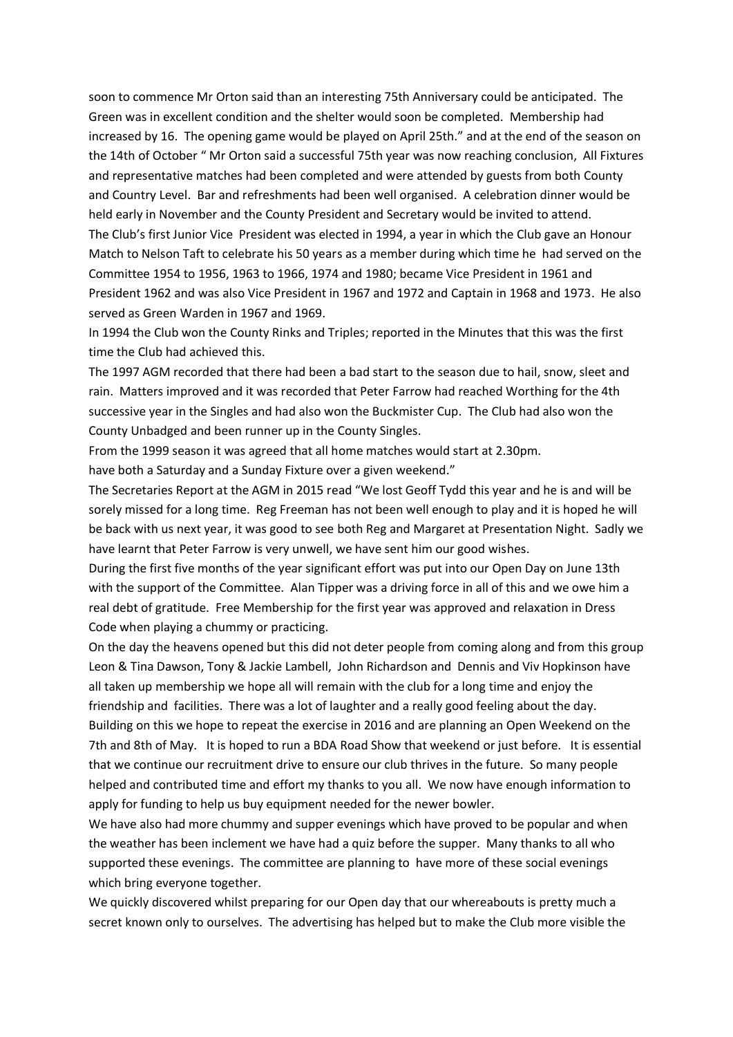soon to commence Mr Orton said than an interesting 75th Anniversary could be anticipated. The Green was in excellent condition and the shelter would soon be completed. Membership had increased by 16. The opening game would be played on April 25th." and at the end of the season on the 14th of October " Mr Orton said a successful 75th year was now reaching conclusion, All Fixtures and representative matches had been completed and were attended by guests from both County and Country Level. Bar and refreshments had been well organised. A celebration dinner would be held early in November and the County President and Secretary would be invited to attend. The Club's first Junior Vice President was elected in 1994, a year in which the Club gave an Honour Match to Nelson Taft to celebrate his 50 years as a member during which time he had served on the Committee 1954 to 1956, 1963 to 1966, 1974 and 1980; became Vice President in 1961 and President 1962 and was also Vice President in 1967 and 1972 and Captain in 1968 and 1973. He also served as Green Warden in 1967 and 1969.

In 1994 the Club won the County Rinks and Triples; reported in the Minutes that this was the first time the Club had achieved this.

The 1997 AGM recorded that there had been a bad start to the season due to hail, snow, sleet and rain. Matters improved and it was recorded that Peter Farrow had reached Worthing for the 4th successive year in the Singles and had also won the Buckmister Cup. The Club had also won the County Unbadged and been runner up in the County Singles.

From the 1999 season it was agreed that all home matches would start at 2.30pm. have both a Saturday and a Sunday Fixture over a given weekend."

The Secretaries Report at the AGM in 2015 read "We lost Geoff Tydd this year and he is and will be sorely missed for a long time. Reg Freeman has not been well enough to play and it is hoped he will be back with us next year, it was good to see both Reg and Margaret at Presentation Night. Sadly we have learnt that Peter Farrow is very unwell, we have sent him our good wishes.

During the first five months of the year significant effort was put into our Open Day on June 13th with the support of the Committee. Alan Tipper was a driving force in all of this and we owe him a real debt of gratitude. Free Membership for the first year was approved and relaxation in Dress Code when playing a chummy or practicing.

On the day the heavens opened but this did not deter people from coming along and from this group Leon & Tina Dawson, Tony & Jackie Lambell, John Richardson and Dennis and Viv Hopkinson have all taken up membership we hope all will remain with the club for a long time and enjoy the friendship and facilities. There was a lot of laughter and a really good feeling about the day. Building on this we hope to repeat the exercise in 2016 and are planning an Open Weekend on the 7th and 8th of May. It is hoped to run a BDA Road Show that weekend or just before. It is essential that we continue our recruitment drive to ensure our club thrives in the future. So many people helped and contributed time and effort my thanks to you all. We now have enough information to apply for funding to help us buy equipment needed for the newer bowler.

We have also had more chummy and supper evenings which have proved to be popular and when the weather has been inclement we have had a quiz before the supper. Many thanks to all who supported these evenings. The committee are planning to have more of these social evenings which bring everyone together.

We quickly discovered whilst preparing for our Open day that our whereabouts is pretty much a secret known only to ourselves. The advertising has helped but to make the Club more visible the